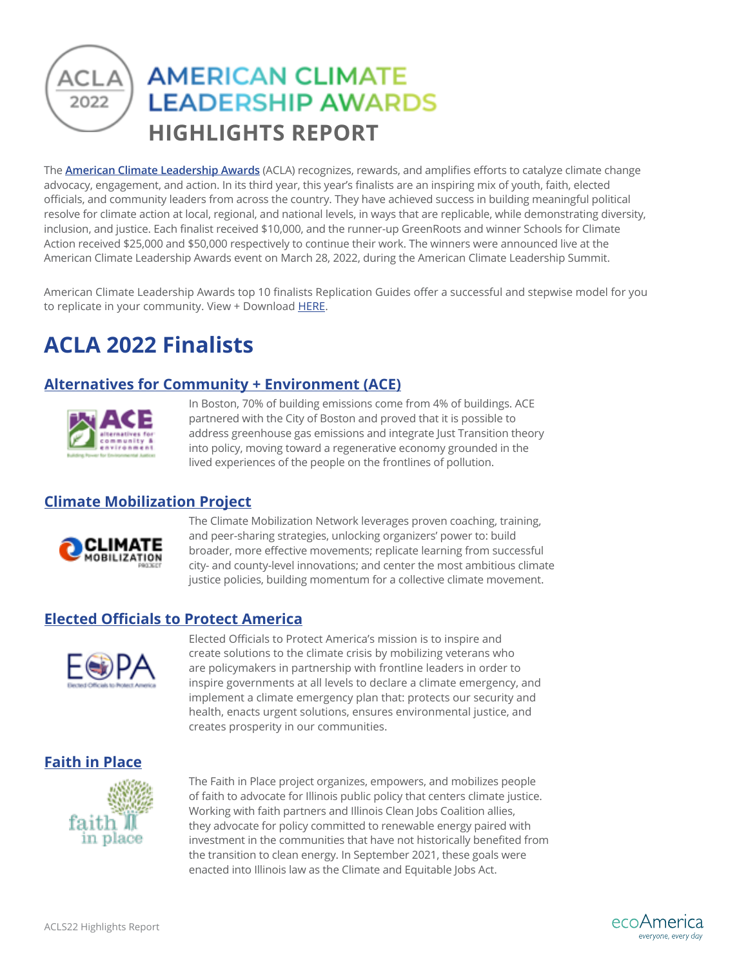## **AMERICAN CLIMATE LEADERSHIP AWARDS** 2022 **HIGHLIGHTS REPORT**

The **[American Climate Leadership Awards](https://youtu.be/lVmo36RFyOs)** (ACLA) recognizes, rewards, and amplifies efforts to catalyze climate change advocacy, engagement, and action. In its third year, this year's finalists are an inspiring mix of youth, faith, elected officials, and community leaders from across the country. They have achieved success in building meaningful political resolve for climate action at local, regional, and national levels, in ways that are replicable, while demonstrating diversity, inclusion, and justice. Each finalist received \$10,000, and the runner-up GreenRoots and winner Schools for Climate Action received \$25,000 and \$50,000 respectively to continue their work. The winners were announced live at the American Climate Leadership Awards event on March 28, 2022, during the American Climate Leadership Summit.

American Climate Leadership Awards top 10 finalists Replication Guides offer a successful and stepwise model for you to replicate in your community. View + Download [HERE](https://ecoamerica.org/american-climate-leadership-awards-2022-replication-guides/).

# **ACLA 2022 Finalists**

### **[Alternatives for Community + Environment \(ACE\)](https://youtu.be/Afkt3bJbVhA)**



In Boston, 70% of building emissions come from 4% of buildings. ACE partnered with the City of Boston and proved that it is possible to address greenhouse gas emissions and integrate Just Transition theory into policy, moving toward a regenerative economy grounded in the lived experiences of the people on the frontlines of pollution.

### **[Climate Mobilization Project](https://youtu.be/rMz8pSsqbI4)**



The Climate Mobilization Network leverages proven coaching, training, and peer-sharing strategies, unlocking organizers' power to: build broader, more effective movements; replicate learning from successful city- and county-level innovations; and center the most ambitious climate justice policies, building momentum for a collective climate movement.

### **[Elected Officials to Protect America](https://youtu.be/qanNpcsC_Pc)**



Elected Officials to Protect America's mission is to inspire and create solutions to the climate crisis by mobilizing veterans who are policymakers in partnership with frontline leaders in order to inspire governments at all levels to declare a climate emergency, and implement a climate emergency plan that: protects our security and health, enacts urgent solutions, ensures environmental justice, and creates prosperity in our communities.

### **[Faith in Place](https://youtu.be/jJIxheIXr_8)**



The Faith in Place project organizes, empowers, and mobilizes people of faith to advocate for Illinois public policy that centers climate justice. Working with faith partners and Illinois Clean Jobs Coalition allies, they advocate for policy committed to renewable energy paired with investment in the communities that have not historically benefited from the transition to clean energy. In September 2021, these goals were enacted into Illinois law as the Climate and Equitable Jobs Act.